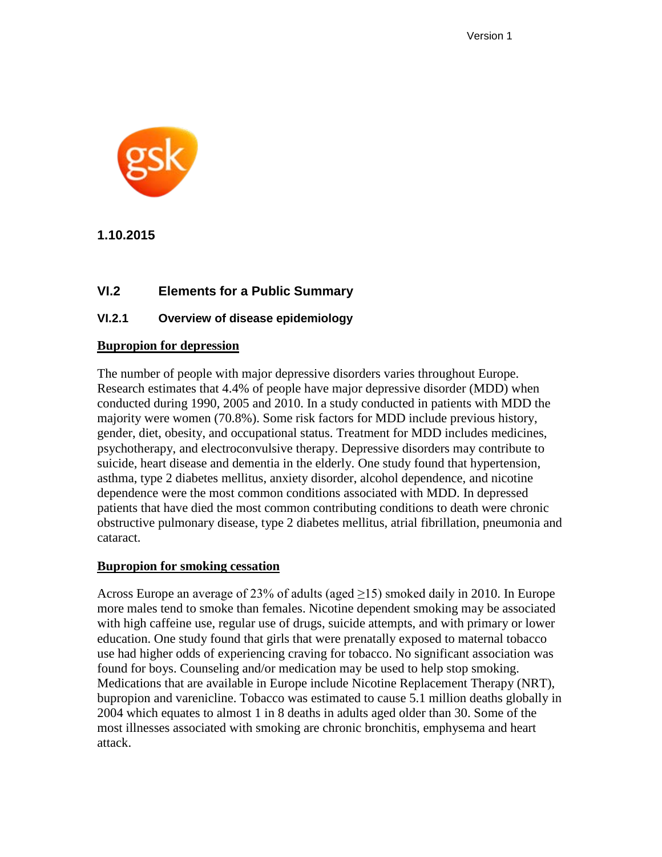

**1.10.2015**

### **VI.2 Elements for a Public Summary**

### **VI.2.1 Overview of disease epidemiology**

#### **Bupropion for depression**

The number of people with major depressive disorders varies throughout Europe. Research estimates that 4.4% of people have major depressive disorder (MDD) when conducted during 1990, 2005 and 2010. In a study conducted in patients with MDD the majority were women (70.8%). Some risk factors for MDD include previous history, gender, diet, obesity, and occupational status. Treatment for MDD includes medicines, psychotherapy, and electroconvulsive therapy. Depressive disorders may contribute to suicide, heart disease and dementia in the elderly. One study found that hypertension, asthma, type 2 diabetes mellitus, anxiety disorder, alcohol dependence, and nicotine dependence were the most common conditions associated with MDD. In depressed patients that have died the most common contributing conditions to death were chronic obstructive pulmonary disease, type 2 diabetes mellitus, atrial fibrillation, pneumonia and cataract.

#### **Bupropion for smoking cessation**

Across Europe an average of 23% of adults (aged  $\geq$ 15) smoked daily in 2010. In Europe more males tend to smoke than females. Nicotine dependent smoking may be associated with high caffeine use, regular use of drugs, suicide attempts, and with primary or lower education. One study found that girls that were prenatally exposed to maternal tobacco use had higher odds of experiencing craving for tobacco. No significant association was found for boys. Counseling and/or medication may be used to help stop smoking. Medications that are available in Europe include Nicotine Replacement Therapy (NRT), bupropion and varenicline. Tobacco was estimated to cause 5.1 million deaths globally in 2004 which equates to almost 1 in 8 deaths in adults aged older than 30. Some of the most illnesses associated with smoking are chronic bronchitis, emphysema and heart attack.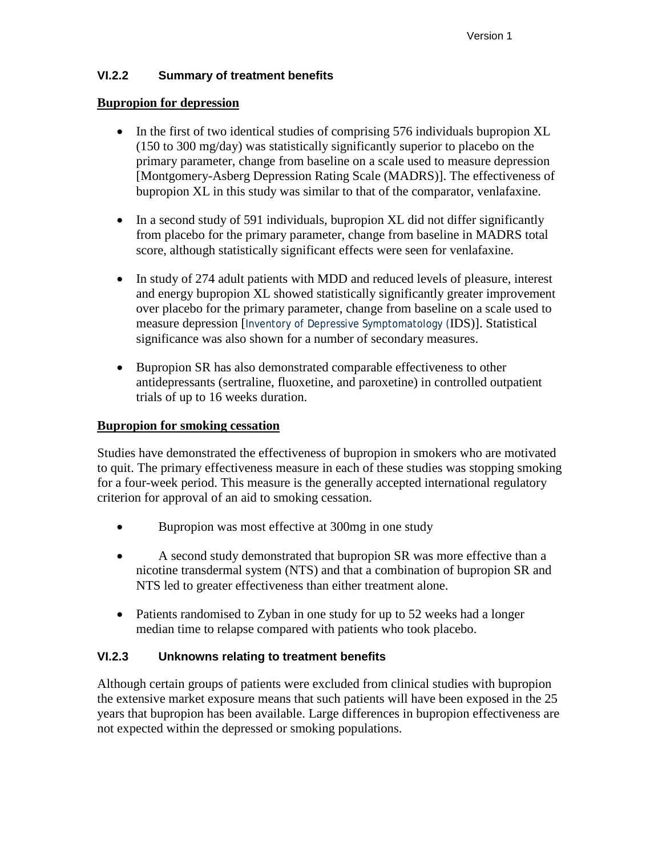### **VI.2.2 Summary of treatment benefits**

#### **Bupropion for depression**

- In the first of two identical studies of comprising 576 individuals bupropion XL (150 to 300 mg/day) was statistically significantly superior to placebo on the primary parameter, change from baseline on a scale used to measure depression [Montgomery-Asberg Depression Rating Scale (MADRS)]. The effectiveness of bupropion XL in this study was similar to that of the comparator, venlafaxine.
- In a second study of 591 individuals, bupropion XL did not differ significantly from placebo for the primary parameter, change from baseline in MADRS total score, although statistically significant effects were seen for venlafaxine.
- In study of 274 adult patients with MDD and reduced levels of pleasure, interest and energy bupropion XL showed statistically significantly greater improvement over placebo for the primary parameter, change from baseline on a scale used to measure depression [Inventory of Depressive Symptomatology (IDS)]. Statistical significance was also shown for a number of secondary measures.
- Bupropion SR has also demonstrated comparable effectiveness to other antidepressants (sertraline, fluoxetine, and paroxetine) in controlled outpatient trials of up to 16 weeks duration.

### **Bupropion for smoking cessation**

Studies have demonstrated the effectiveness of bupropion in smokers who are motivated to quit. The primary effectiveness measure in each of these studies was stopping smoking for a four-week period. This measure is the generally accepted international regulatory criterion for approval of an aid to smoking cessation.

- Bupropion was most effective at 300mg in one study
- A second study demonstrated that bupropion SR was more effective than a nicotine transdermal system (NTS) and that a combination of bupropion SR and NTS led to greater effectiveness than either treatment alone.
- Patients randomised to Zyban in one study for up to 52 weeks had a longer median time to relapse compared with patients who took placebo.

### **VI.2.3 Unknowns relating to treatment benefits**

Although certain groups of patients were excluded from clinical studies with bupropion the extensive market exposure means that such patients will have been exposed in the 25 years that bupropion has been available. Large differences in bupropion effectiveness are not expected within the depressed or smoking populations.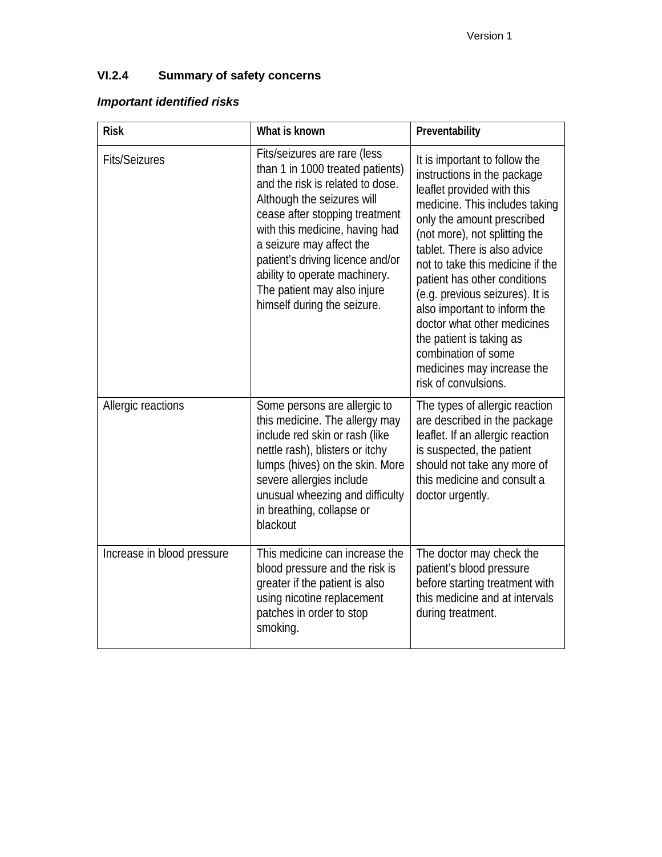# **VI.2.4 Summary of safety concerns**

# *Important identified risks*

| <b>Risk</b>                | What is known                                                                                                                                                                                                                                                                                                                                                         | Preventability                                                                                                                                                                                                                                                                                                                                                                                                                                                                                             |
|----------------------------|-----------------------------------------------------------------------------------------------------------------------------------------------------------------------------------------------------------------------------------------------------------------------------------------------------------------------------------------------------------------------|------------------------------------------------------------------------------------------------------------------------------------------------------------------------------------------------------------------------------------------------------------------------------------------------------------------------------------------------------------------------------------------------------------------------------------------------------------------------------------------------------------|
| <b>Fits/Seizures</b>       | Fits/seizures are rare (less<br>than 1 in 1000 treated patients)<br>and the risk is related to dose.<br>Although the seizures will<br>cease after stopping treatment<br>with this medicine, having had<br>a seizure may affect the<br>patient's driving licence and/or<br>ability to operate machinery.<br>The patient may also injure<br>himself during the seizure. | It is important to follow the<br>instructions in the package<br>leaflet provided with this<br>medicine. This includes taking<br>only the amount prescribed<br>(not more), not splitting the<br>tablet. There is also advice<br>not to take this medicine if the<br>patient has other conditions<br>(e.g. previous seizures). It is<br>also important to inform the<br>doctor what other medicines<br>the patient is taking as<br>combination of some<br>medicines may increase the<br>risk of convulsions. |
| Allergic reactions         | Some persons are allergic to<br>this medicine. The allergy may<br>include red skin or rash (like<br>nettle rash), blisters or itchy<br>lumps (hives) on the skin. More<br>severe allergies include<br>unusual wheezing and difficulty<br>in breathing, collapse or<br>blackout                                                                                        | The types of allergic reaction<br>are described in the package<br>leaflet. If an allergic reaction<br>is suspected, the patient<br>should not take any more of<br>this medicine and consult a<br>doctor urgently.                                                                                                                                                                                                                                                                                          |
| Increase in blood pressure | This medicine can increase the<br>blood pressure and the risk is<br>greater if the patient is also<br>using nicotine replacement<br>patches in order to stop<br>smoking.                                                                                                                                                                                              | The doctor may check the<br>patient's blood pressure<br>before starting treatment with<br>this medicine and at intervals<br>during treatment.                                                                                                                                                                                                                                                                                                                                                              |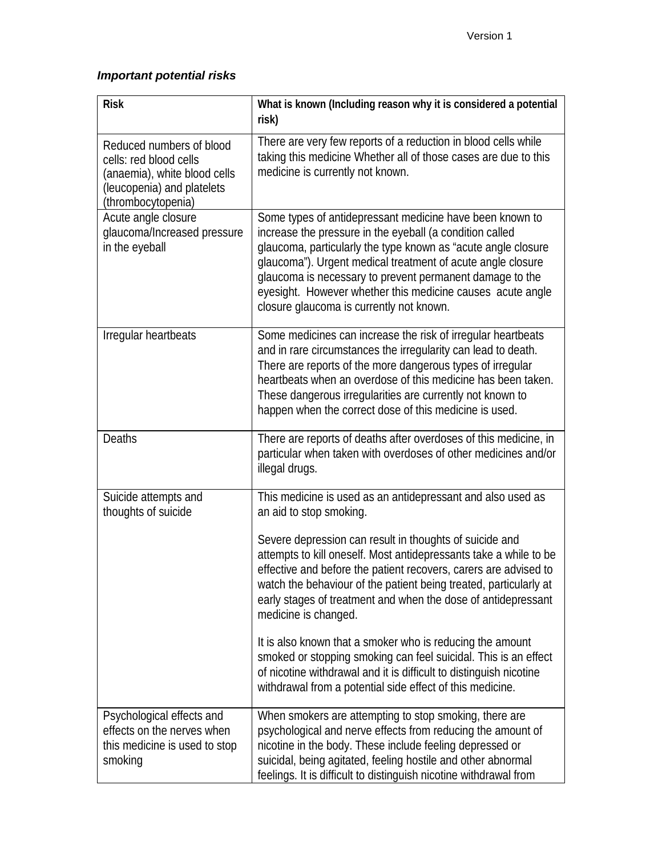# *Important potential risks*

| <b>Risk</b>                                                                                                                            | What is known (Including reason why it is considered a potential<br>risk)                                                                                                                                                                                                                                                                                                                                                  |
|----------------------------------------------------------------------------------------------------------------------------------------|----------------------------------------------------------------------------------------------------------------------------------------------------------------------------------------------------------------------------------------------------------------------------------------------------------------------------------------------------------------------------------------------------------------------------|
| Reduced numbers of blood<br>cells: red blood cells<br>(anaemia), white blood cells<br>(leucopenia) and platelets<br>(thrombocytopenia) | There are very few reports of a reduction in blood cells while<br>taking this medicine Whether all of those cases are due to this<br>medicine is currently not known.                                                                                                                                                                                                                                                      |
| Acute angle closure<br>glaucoma/Increased pressure<br>in the eyeball                                                                   | Some types of antidepressant medicine have been known to<br>increase the pressure in the eyeball (a condition called<br>glaucoma, particularly the type known as "acute angle closure<br>glaucoma"). Urgent medical treatment of acute angle closure<br>glaucoma is necessary to prevent permanent damage to the<br>eyesight. However whether this medicine causes acute angle<br>closure glaucoma is currently not known. |
| Irregular heartbeats                                                                                                                   | Some medicines can increase the risk of irregular heartbeats<br>and in rare circumstances the irregularity can lead to death.<br>There are reports of the more dangerous types of irregular<br>heartbeats when an overdose of this medicine has been taken.<br>These dangerous irregularities are currently not known to<br>happen when the correct dose of this medicine is used.                                         |
| <b>Deaths</b>                                                                                                                          | There are reports of deaths after overdoses of this medicine, in<br>particular when taken with overdoses of other medicines and/or<br>illegal drugs.                                                                                                                                                                                                                                                                       |
| Suicide attempts and<br>thoughts of suicide                                                                                            | This medicine is used as an antidepressant and also used as<br>an aid to stop smoking.                                                                                                                                                                                                                                                                                                                                     |
|                                                                                                                                        | Severe depression can result in thoughts of suicide and<br>attempts to kill oneself. Most antidepressants take a while to be<br>effective and before the patient recovers, carers are advised to<br>watch the behaviour of the patient being treated, particularly at<br>early stages of treatment and when the dose of antidepressant<br>medicine is changed.                                                             |
|                                                                                                                                        | It is also known that a smoker who is reducing the amount<br>smoked or stopping smoking can feel suicidal. This is an effect<br>of nicotine withdrawal and it is difficult to distinguish nicotine<br>withdrawal from a potential side effect of this medicine.                                                                                                                                                            |
| Psychological effects and<br>effects on the nerves when<br>this medicine is used to stop<br>smoking                                    | When smokers are attempting to stop smoking, there are<br>psychological and nerve effects from reducing the amount of<br>nicotine in the body. These include feeling depressed or<br>suicidal, being agitated, feeling hostile and other abnormal<br>feelings. It is difficult to distinguish nicotine withdrawal from                                                                                                     |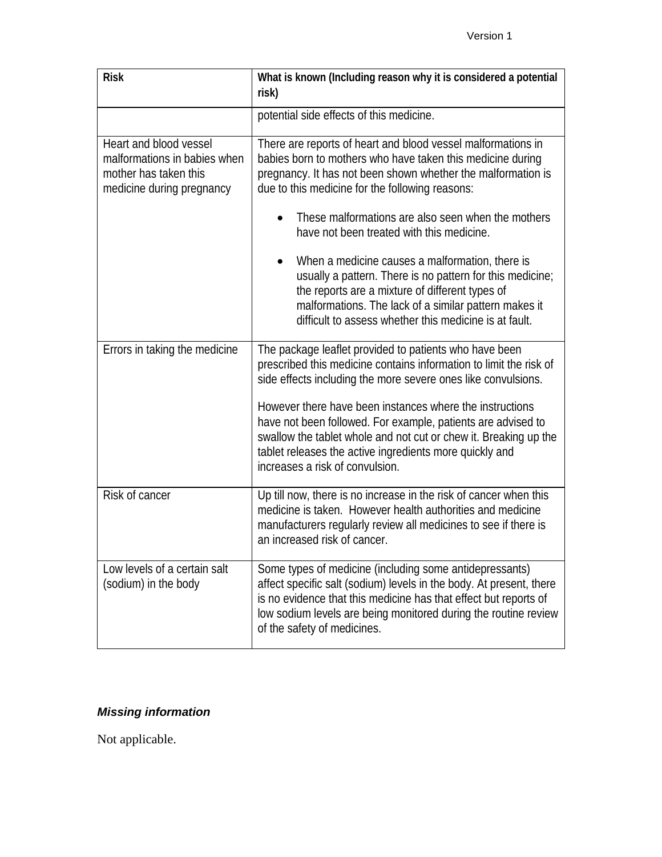| <b>Risk</b>                                                                                                  | What is known (Including reason why it is considered a potential<br>risk)                                                                                                                                                                                                                            |  |  |
|--------------------------------------------------------------------------------------------------------------|------------------------------------------------------------------------------------------------------------------------------------------------------------------------------------------------------------------------------------------------------------------------------------------------------|--|--|
|                                                                                                              | potential side effects of this medicine.                                                                                                                                                                                                                                                             |  |  |
| Heart and blood vessel<br>malformations in babies when<br>mother has taken this<br>medicine during pregnancy | There are reports of heart and blood vessel malformations in<br>babies born to mothers who have taken this medicine during<br>pregnancy. It has not been shown whether the malformation is<br>due to this medicine for the following reasons:                                                        |  |  |
|                                                                                                              | These malformations are also seen when the mothers<br>have not been treated with this medicine.                                                                                                                                                                                                      |  |  |
|                                                                                                              | When a medicine causes a malformation, there is<br>usually a pattern. There is no pattern for this medicine;<br>the reports are a mixture of different types of<br>malformations. The lack of a similar pattern makes it<br>difficult to assess whether this medicine is at fault.                   |  |  |
| Errors in taking the medicine                                                                                | The package leaflet provided to patients who have been<br>prescribed this medicine contains information to limit the risk of<br>side effects including the more severe ones like convulsions.                                                                                                        |  |  |
|                                                                                                              | However there have been instances where the instructions<br>have not been followed. For example, patients are advised to<br>swallow the tablet whole and not cut or chew it. Breaking up the<br>tablet releases the active ingredients more quickly and<br>increases a risk of convulsion.           |  |  |
| Risk of cancer                                                                                               | Up till now, there is no increase in the risk of cancer when this<br>medicine is taken. However health authorities and medicine<br>manufacturers regularly review all medicines to see if there is<br>an increased risk of cancer.                                                                   |  |  |
| Low levels of a certain salt<br>(sodium) in the body                                                         | Some types of medicine (including some antidepressants)<br>affect specific salt (sodium) levels in the body. At present, there<br>is no evidence that this medicine has that effect but reports of<br>low sodium levels are being monitored during the routine review<br>of the safety of medicines. |  |  |

# *Missing information*

Not applicable.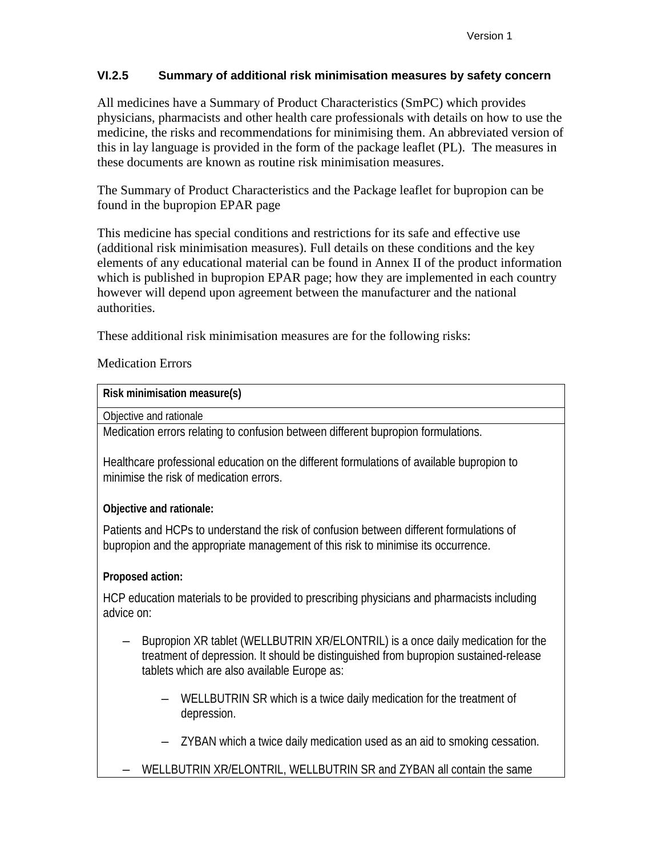### **VI.2.5 Summary of additional risk minimisation measures by safety concern**

All medicines have a Summary of Product Characteristics (SmPC) which provides physicians, pharmacists and other health care professionals with details on how to use the medicine, the risks and recommendations for minimising them. An abbreviated version of this in lay language is provided in the form of the package leaflet (PL). The measures in these documents are known as routine risk minimisation measures.

The Summary of Product Characteristics and the Package leaflet for bupropion can be found in the bupropion EPAR page

This medicine has special conditions and restrictions for its safe and effective use (additional risk minimisation measures). Full details on these conditions and the key elements of any educational material can be found in Annex II of the product information which is published in bupropion EPAR page; how they are implemented in each country however will depend upon agreement between the manufacturer and the national authorities.

These additional risk minimisation measures are for the following risks:

### Medication Errors

#### **Risk minimisation measure(s)**

Objective and rationale

Medication errors relating to confusion between different bupropion formulations.

Healthcare professional education on the different formulations of available bupropion to minimise the risk of medication errors.

### **Objective and rationale:**

Patients and HCPs to understand the risk of confusion between different formulations of bupropion and the appropriate management of this risk to minimise its occurrence.

### **Proposed action:**

HCP education materials to be provided to prescribing physicians and pharmacists including advice on:

- Bupropion XR tablet (WELLBUTRIN XR/ELONTRIL) is a once daily medication for the treatment of depression. It should be distinguished from bupropion sustained-release tablets which are also available Europe as:
	- WELLBUTRIN SR which is a twice daily medication for the treatment of depression.
	- ZYBAN which a twice daily medication used as an aid to smoking cessation.
- WELLBUTRIN XR/ELONTRIL, WELLBUTRIN SR and ZYBAN all contain the same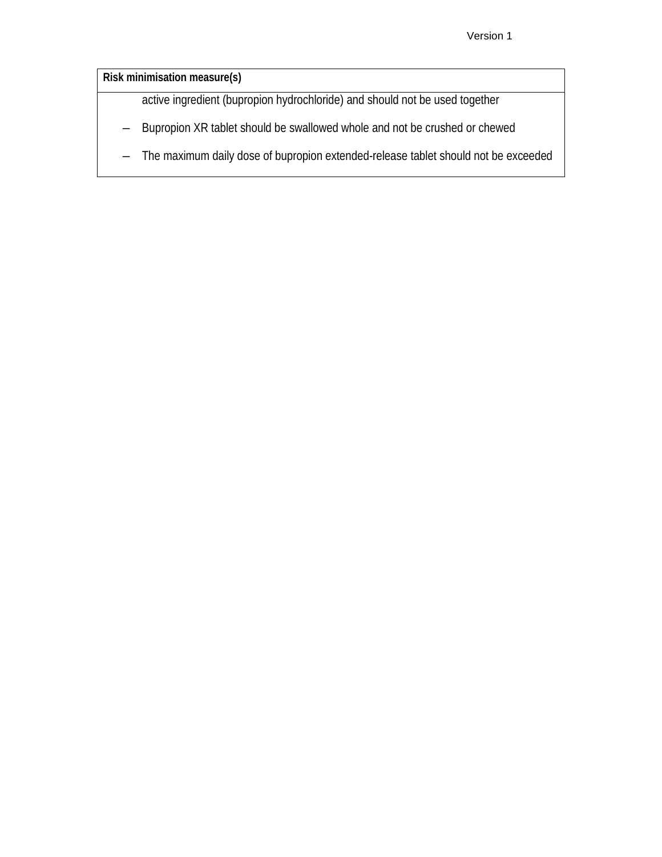**Risk minimisation measure(s)**

active ingredient (bupropion hydrochloride) and should not be used together

- Bupropion XR tablet should be swallowed whole and not be crushed or chewed
- The maximum daily dose of bupropion extended-release tablet should not be exceeded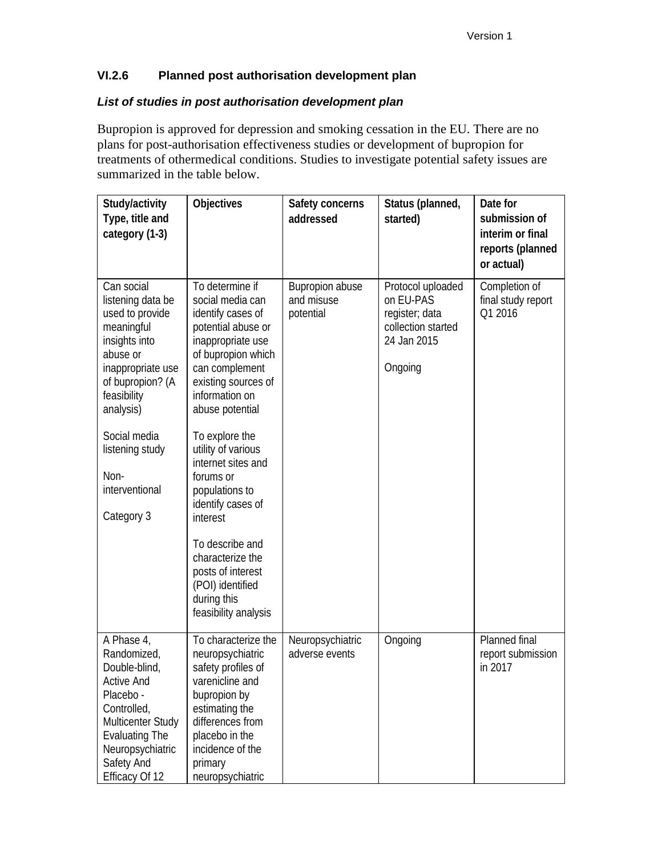### **VI.2.6 Planned post authorisation development plan**

### *List of studies in post authorisation development plan*

Bupropion is approved for depression and smoking cessation in the EU. There are no plans for post-authorisation effectiveness studies or development of bupropion for treatments of othermedical conditions. Studies to investigate potential safety issues are summarized in the table below.

| Study/activity<br>Type, title and<br>category (1-3)                                                                                                                                                                             | Objectives                                                                                                                                                                                                                                                                                                                | Safety concerns<br>addressed               | Status (planned,<br>started)                                                                     | Date for<br>submission of<br>interim or final<br>reports (planned<br>or actual) |
|---------------------------------------------------------------------------------------------------------------------------------------------------------------------------------------------------------------------------------|---------------------------------------------------------------------------------------------------------------------------------------------------------------------------------------------------------------------------------------------------------------------------------------------------------------------------|--------------------------------------------|--------------------------------------------------------------------------------------------------|---------------------------------------------------------------------------------|
| Can social<br>listening data be<br>used to provide<br>meaningful<br>insights into<br>abuse or<br>inappropriate use<br>of bupropion? (A<br>feasibility<br>analysis)<br>Social media<br>listening study<br>Non-<br>interventional | To determine if<br>social media can<br>identify cases of<br>potential abuse or<br>inappropriate use<br>of bupropion which<br>can complement<br>existing sources of<br>information on<br>abuse potential<br>To explore the<br>utility of various<br>internet sites and<br>forums or<br>populations to<br>identify cases of | Bupropion abuse<br>and misuse<br>potential | Protocol uploaded<br>on EU-PAS<br>register; data<br>collection started<br>24 Jan 2015<br>Ongoing | Completion of<br>final study report<br>Q1 2016                                  |
| Category 3                                                                                                                                                                                                                      | interest<br>To describe and<br>characterize the<br>posts of interest<br>(POI) identified<br>during this<br>feasibility analysis                                                                                                                                                                                           |                                            |                                                                                                  |                                                                                 |
| A Phase 4,<br>Randomized,<br>Double-blind,<br><b>Active And</b><br>Placebo -<br>Controlled,<br>Multicenter Study<br><b>Evaluating The</b><br>Neuropsychiatric<br>Safety And<br>Efficacy Of 12                                   | To characterize the<br>neuropsychiatric<br>safety profiles of<br>varenicline and<br>bupropion by<br>estimating the<br>differences from<br>placebo in the<br>incidence of the<br>primary<br>neuropsychiatric                                                                                                               | Neuropsychiatric<br>adverse events         | Ongoing                                                                                          | Planned final<br>report submission<br>in 2017                                   |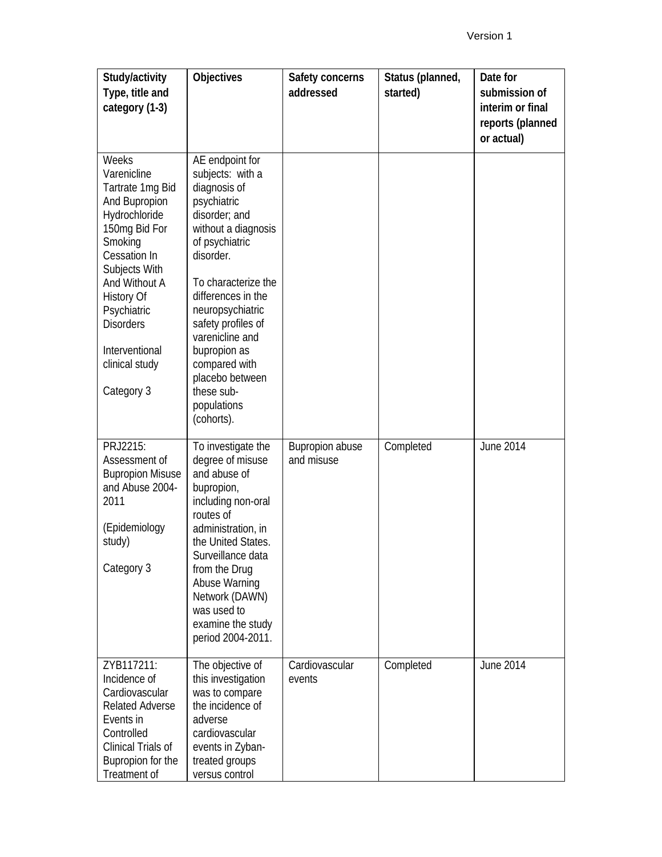| Study/activity<br>Type, title and<br>category (1-3)                                                                                                                                                                                                                | <b>Objectives</b>                                                                                                                                                                                                                                                                                                                                  | Safety concerns<br>addressed         | Status (planned,<br>started) | Date for<br>submission of<br>interim or final<br>reports (planned<br>or actual) |
|--------------------------------------------------------------------------------------------------------------------------------------------------------------------------------------------------------------------------------------------------------------------|----------------------------------------------------------------------------------------------------------------------------------------------------------------------------------------------------------------------------------------------------------------------------------------------------------------------------------------------------|--------------------------------------|------------------------------|---------------------------------------------------------------------------------|
| Weeks<br>Varenicline<br>Tartrate 1mg Bid<br>And Bupropion<br>Hydrochloride<br>150mg Bid For<br>Smoking<br>Cessation In<br>Subjects With<br>And Without A<br><b>History Of</b><br>Psychiatric<br><b>Disorders</b><br>Interventional<br>clinical study<br>Category 3 | AE endpoint for<br>subjects: with a<br>diagnosis of<br>psychiatric<br>disorder; and<br>without a diagnosis<br>of psychiatric<br>disorder.<br>To characterize the<br>differences in the<br>neuropsychiatric<br>safety profiles of<br>varenicline and<br>bupropion as<br>compared with<br>placebo between<br>these sub-<br>populations<br>(cohorts). |                                      |                              |                                                                                 |
| PRJ2215:<br>Assessment of<br><b>Bupropion Misuse</b><br>and Abuse 2004-<br>2011<br>(Epidemiology<br>study)<br>Category 3                                                                                                                                           | To investigate the<br>degree of misuse<br>and abuse of<br>bupropion,<br>including non-oral<br>routes of<br>administration, in<br>the United States.<br>Surveillance data<br>from the Drug<br>Abuse Warning<br>Network (DAWN)<br>was used to<br>examine the study<br>period 2004-2011.                                                              | <b>Bupropion abuse</b><br>and misuse | Completed                    | <b>June 2014</b>                                                                |
| ZYB117211:<br>Incidence of<br>Cardiovascular<br><b>Related Adverse</b><br>Events in<br>Controlled<br>Clinical Trials of<br>Bupropion for the<br>Treatment of                                                                                                       | The objective of<br>this investigation<br>was to compare<br>the incidence of<br>adverse<br>cardiovascular<br>events in Zyban-<br>treated groups<br>versus control                                                                                                                                                                                  | Cardiovascular<br>events             | Completed                    | <b>June 2014</b>                                                                |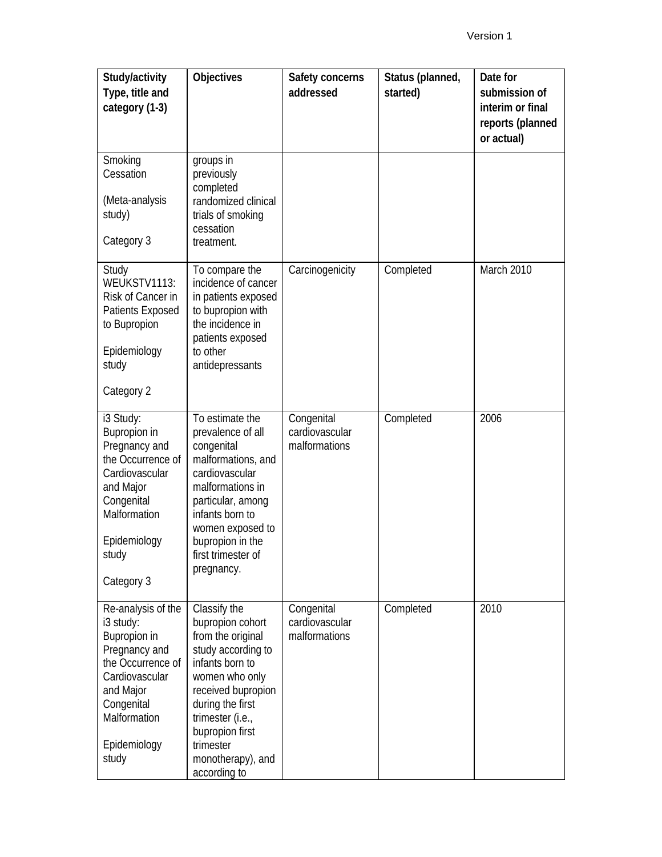| Study/activity<br>Type, title and<br>category (1-3)                                                                                                                         | Objectives                                                                                                                                                                                                                                          | Safety concerns<br>addressed                  | Status (planned,<br>started) | Date for<br>submission of<br>interim or final<br>reports (planned<br>or actual) |
|-----------------------------------------------------------------------------------------------------------------------------------------------------------------------------|-----------------------------------------------------------------------------------------------------------------------------------------------------------------------------------------------------------------------------------------------------|-----------------------------------------------|------------------------------|---------------------------------------------------------------------------------|
| Smoking<br>Cessation<br>(Meta-analysis<br>study)<br>Category 3                                                                                                              | groups in<br>previously<br>completed<br>randomized clinical<br>trials of smoking<br>cessation<br>treatment.                                                                                                                                         |                                               |                              |                                                                                 |
| Study<br>WEUKSTV1113:<br>Risk of Cancer in<br>Patients Exposed<br>to Bupropion<br>Epidemiology<br>study<br>Category 2                                                       | To compare the<br>incidence of cancer<br>in patients exposed<br>to bupropion with<br>the incidence in<br>patients exposed<br>to other<br>antidepressants                                                                                            | Carcinogenicity                               | Completed                    | March 2010                                                                      |
| i3 Study:<br>Bupropion in<br>Pregnancy and<br>the Occurrence of<br>Cardiovascular<br>and Major<br>Congenital<br>Malformation<br>Epidemiology<br>study<br>Category 3         | To estimate the<br>prevalence of all<br>congenital<br>malformations, and<br>cardiovascular<br>malformations in<br>particular, among<br>infants born to<br>women exposed to<br>bupropion in the<br>first trimester of<br>pregnancy.                  | Congenital<br>cardiovascular<br>malformations | Completed                    | 2006                                                                            |
| Re-analysis of the<br>i3 study:<br>Bupropion in<br>Pregnancy and<br>the Occurrence of<br>Cardiovascular<br>and Major<br>Congenital<br>Malformation<br>Epidemiology<br>study | Classify the<br>bupropion cohort<br>from the original<br>study according to<br>infants born to<br>women who only<br>received bupropion<br>during the first<br>trimester (i.e.,<br>bupropion first<br>trimester<br>monotherapy), and<br>according to | Congenital<br>cardiovascular<br>malformations | Completed                    | 2010                                                                            |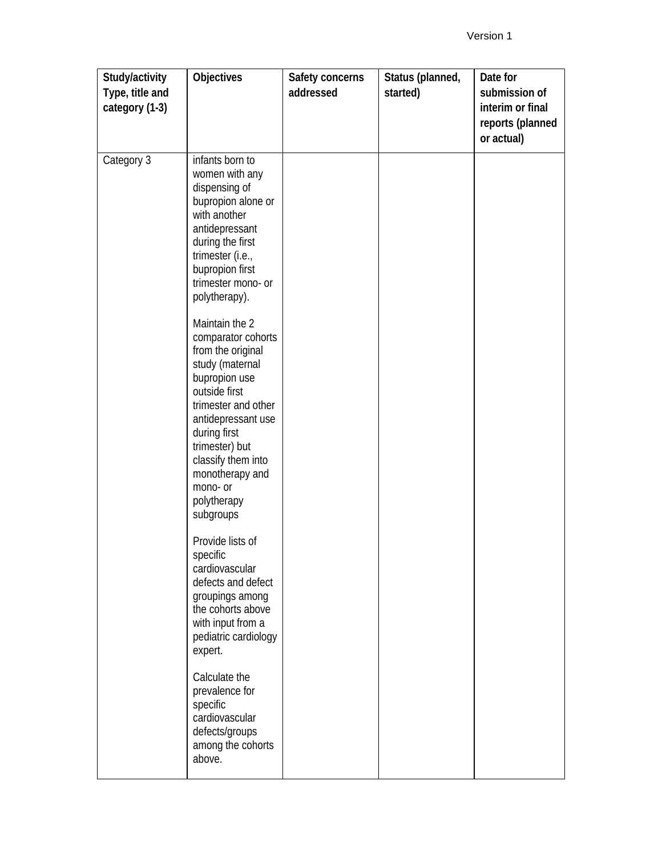| Study/activity<br>Type, title and<br>category (1-3) | <b>Objectives</b>                                                                                                                                                                                                                                    | Safety concerns<br>addressed | Status (planned,<br>started) | Date for<br>submission of<br>interim or final<br>reports (planned<br>or actual) |
|-----------------------------------------------------|------------------------------------------------------------------------------------------------------------------------------------------------------------------------------------------------------------------------------------------------------|------------------------------|------------------------------|---------------------------------------------------------------------------------|
| Category 3                                          | infants born to<br>women with any<br>dispensing of<br>bupropion alone or<br>with another<br>antidepressant<br>during the first<br>trimester (i.e.,<br>bupropion first<br>trimester mono- or<br>polytherapy).<br>Maintain the 2<br>comparator cohorts |                              |                              |                                                                                 |
|                                                     | from the original<br>study (maternal<br>bupropion use<br>outside first<br>trimester and other<br>antidepressant use<br>during first<br>trimester) but<br>classify them into<br>monotherapy and<br>mono- or<br>polytherapy<br>subgroups               |                              |                              |                                                                                 |
|                                                     | Provide lists of<br>specific<br>cardiovascular<br>defects and defect<br>groupings among<br>the cohorts above<br>with input from a<br>pediatric cardiology<br>expert.                                                                                 |                              |                              |                                                                                 |
|                                                     | Calculate the<br>prevalence for<br>specific<br>cardiovascular<br>defects/groups<br>among the cohorts<br>above.                                                                                                                                       |                              |                              |                                                                                 |